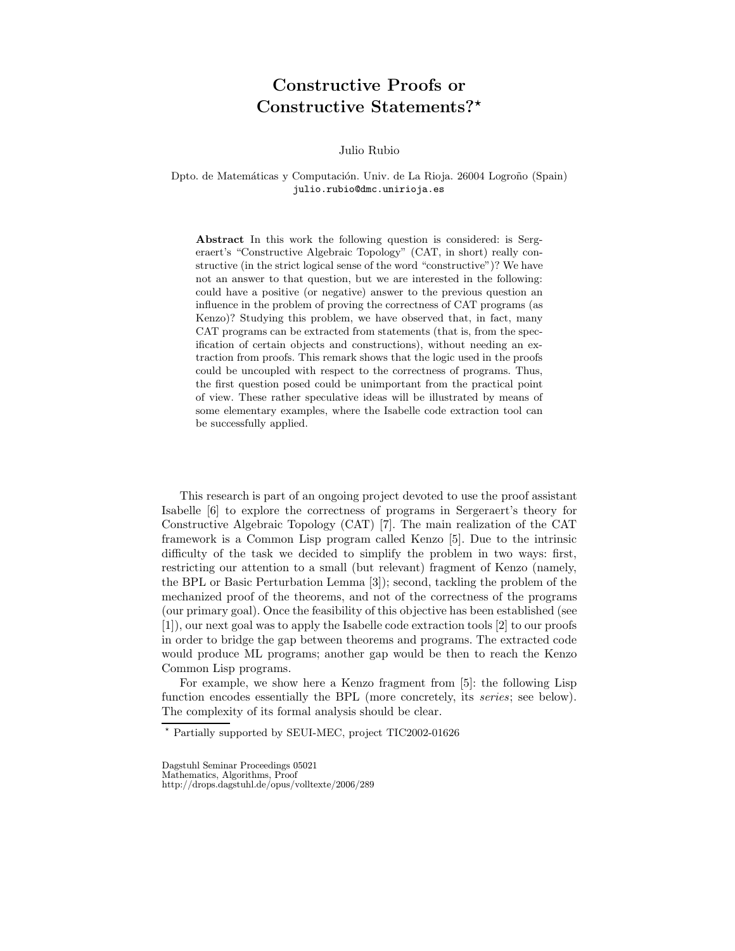## **Constructive Proofs or Constructive Statements?***?*

Julio Rubio

Dpto. de Matemáticas y Computación. Univ. de La Rioja. 26004 Logroño (Spain) julio.rubio@dmc.unirioja.es

**Abstract** In this work the following question is considered: is Sergeraert's "Constructive Algebraic Topology" (CAT, in short) really constructive (in the strict logical sense of the word "constructive")? We have not an answer to that question, but we are interested in the following: could have a positive (or negative) answer to the previous question an influence in the problem of proving the correctness of CAT programs (as Kenzo)? Studying this problem, we have observed that, in fact, many CAT programs can be extracted from statements (that is, from the specification of certain objects and constructions), without needing an extraction from proofs. This remark shows that the logic used in the proofs could be uncoupled with respect to the correctness of programs. Thus, the first question posed could be unimportant from the practical point of view. These rather speculative ideas will be illustrated by means of some elementary examples, where the Isabelle code extraction tool can be successfully applied.

This research is part of an ongoing project devoted to use the proof assistant Isabelle [6] to explore the correctness of programs in Sergeraert's theory for Constructive Algebraic Topology (CAT) [7]. The main realization of the CAT framework is a Common Lisp program called Kenzo [5]. Due to the intrinsic difficulty of the task we decided to simplify the problem in two ways: first, restricting our attention to a small (but relevant) fragment of Kenzo (namely, the BPL or Basic Perturbation Lemma [3]); second, tackling the problem of the mechanized proof of the theorems, and not of the correctness of the programs (our primary goal). Once the feasibility of this objective has been established (see [1]), our next goal was to apply the Isabelle code extraction tools [2] to our proofs in order to bridge the gap between theorems and programs. The extracted code would produce ML programs; another gap would be then to reach the Kenzo Common Lisp programs.

For example, we show here a Kenzo fragment from [5]: the following Lisp function encodes essentially the BPL (more concretely, its *series*; see below). The complexity of its formal analysis should be clear.

<sup>?</sup> Partially supported by SEUI-MEC, project TIC2002-01626

Dagstuhl Seminar Proceedings 05021 Mathematics, Algorithms, Proof http://drops.dagstuhl.de/opus/volltexte/2006/289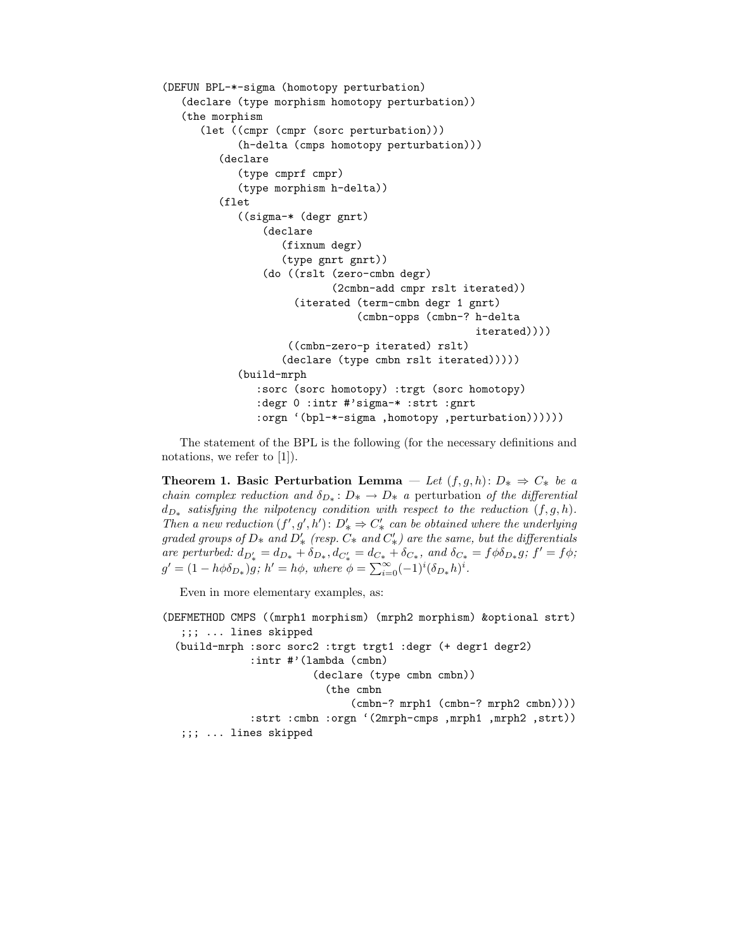```
(DEFUN BPL-*-sigma (homotopy perturbation)
  (declare (type morphism homotopy perturbation))
  (the morphism
      (let ((cmpr (cmpr (sorc perturbation)))
            (h-delta (cmps homotopy perturbation)))
         (declare
            (type cmprf cmpr)
            (type morphism h-delta))
         (flet
            ((sigma-* (degr gnrt)
                (declare
                   (fixnum degr)
                   (type gnrt gnrt))
                (do ((rslt (zero-cmbn degr)
                           (2cmbn-add cmpr rslt iterated))
                     (iterated (term-cmbn degr 1 gnrt)
                               (cmbn-opps (cmbn-? h-delta
                                                   iterated))))
                    ((cmbn-zero-p iterated) rslt)
                   (declare (type cmbn rslt iterated)))))
            (build-mrph
               :sorc (sorc homotopy) :trgt (sorc homotopy)
               :degr 0 :intr #'sigma-* :strt :gnrt
               :orgn '(bpl-*-sigma ,homotopy ,perturbation))))))
```
The statement of the BPL is the following (for the necessary definitions and notations, we refer to [1]).

**Theorem 1. Basic Perturbation Lemma**  $-$  *Let*  $(f, g, h): D_* \Rightarrow C_*$  *be a chain complex reduction and*  $\delta_{D^*}: D^* \to D^*$  *a* perturbation *of the differential*  $d_{D^*}$  *satisfying the nilpotency condition with respect to the reduction*  $(f, g, h)$ *. Then a new reduction*  $(f', g', h')$ :  $D'_{*} \Rightarrow C'_{*}$  *can be obtained where the underlying graded groups of*  $D^*$  *and*  $D'_*$  *(resp.*  $C^*$  *and*  $C'_*$ *) are the same, but the differentials are perturbed:*  $d_{D'_*} = d_{D_*} + \delta_{D_*}, d_{C'_*} = d_{C_*} + \delta_{C_*},$  and  $\delta_{C_*} = f \phi \delta_{D_*} g$ ;  $f' = f \phi$ ;  $g' = (1 - h\phi\delta_{D*})g$ ;  $h' = h\phi$ , where  $\phi = \sum_{i=0}^{\infty} (-1)^i (\delta_{D*}h)^i$ .

Even in more elementary examples, as:

```
(DEFMETHOD CMPS ((mrph1 morphism) (mrph2 morphism) &optional strt)
  ;;; ... lines skipped
 (build-mrph :sorc sorc2 :trgt trgt1 :degr (+ degr1 degr2)
              :intr #'(lambda (cmbn)
                        (declare (type cmbn cmbn))
                          (the cmbn
                              (cmbn-? mrph1 (cmbn-? mrph2 cmbn))))
              :strt :cmbn :orgn '(2mrph-cmps ,mrph1 ,mrph2 ,strt))
  ;;; ... lines skipped
```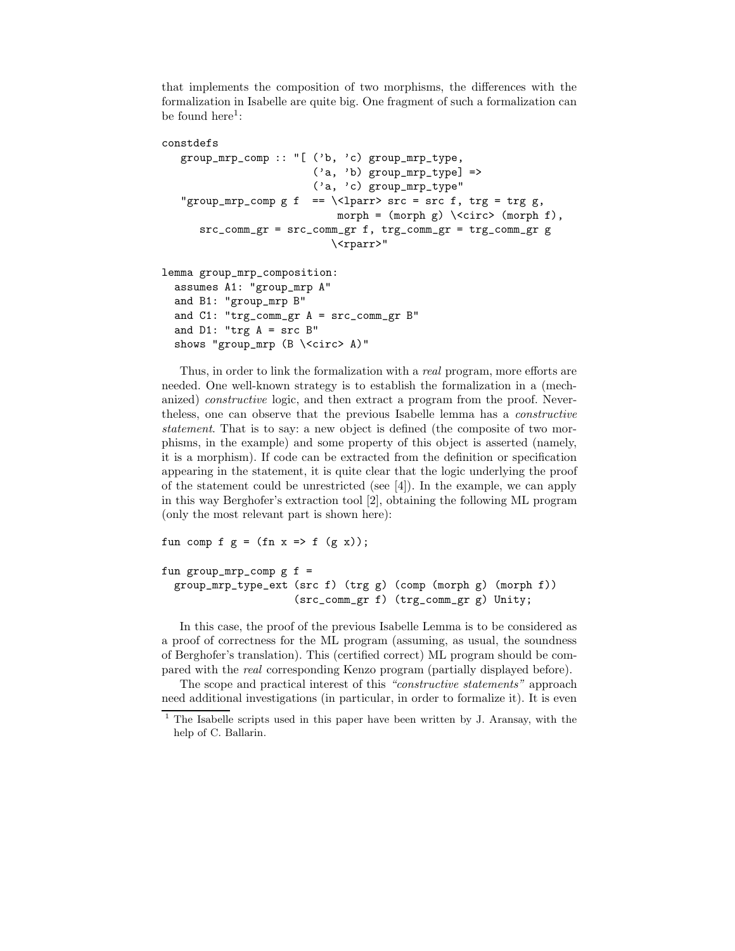that implements the composition of two morphisms, the differences with the formalization in Isabelle are quite big. One fragment of such a formalization can be found here $^1$ :

```
constdefs
```

```
group_mrp_comp :: "[ ('b, 'c) group_mrp_type,
                       ('a, 'b) group_mrp_type] =>
                       ('a, 'c) group_mrp_type"
"group_mrp_comp g f == \lvert \lvert \ \lparr> src = src f, trg = trg g,
                           morph = (morph g) \ \text{script} (morph f),
   src_comm_gr = src_comm_gr f, trg_comm_gr = trg_comm_gr g
                          \<rparr>"
```
lemma group\_mrp\_composition: assumes A1: "group\_mrp A" and B1: "group\_mrp B" and  $C1$ : "trg\_comm\_gr  $A = src_{comm\_gr} B"$ and  $D1$ : "trg  $A = src$  B" shows "group\_mrp (B \<circ> A)"

Thus, in order to link the formalization with a *real* program, more efforts are needed. One well-known strategy is to establish the formalization in a (mechanized) *constructive* logic, and then extract a program from the proof. Nevertheless, one can observe that the previous Isabelle lemma has a *constructive statement*. That is to say: a new object is defined (the composite of two morphisms, in the example) and some property of this object is asserted (namely, it is a morphism). If code can be extracted from the definition or specification appearing in the statement, it is quite clear that the logic underlying the proof of the statement could be unrestricted (see [4]). In the example, we can apply in this way Berghofer's extraction tool [2], obtaining the following ML program (only the most relevant part is shown here):

fun comp f  $g = (fn x \Rightarrow f (g x));$ 

```
fun group_mrp_comp g f =group_mrp_type_ext (src f) (trg g) (comp (morph g) (morph f))
                     (src_comm_gr f) (trg_comm_gr g) Unity;
```
In this case, the proof of the previous Isabelle Lemma is to be considered as a proof of correctness for the ML program (assuming, as usual, the soundness of Berghofer's translation). This (certified correct) ML program should be compared with the *real* corresponding Kenzo program (partially displayed before).

The scope and practical interest of this *"constructive statements"* approach need additional investigations (in particular, in order to formalize it). It is even

 $1$ <sup>1</sup> The Isabelle scripts used in this paper have been written by J. Aransay, with the help of C. Ballarin.